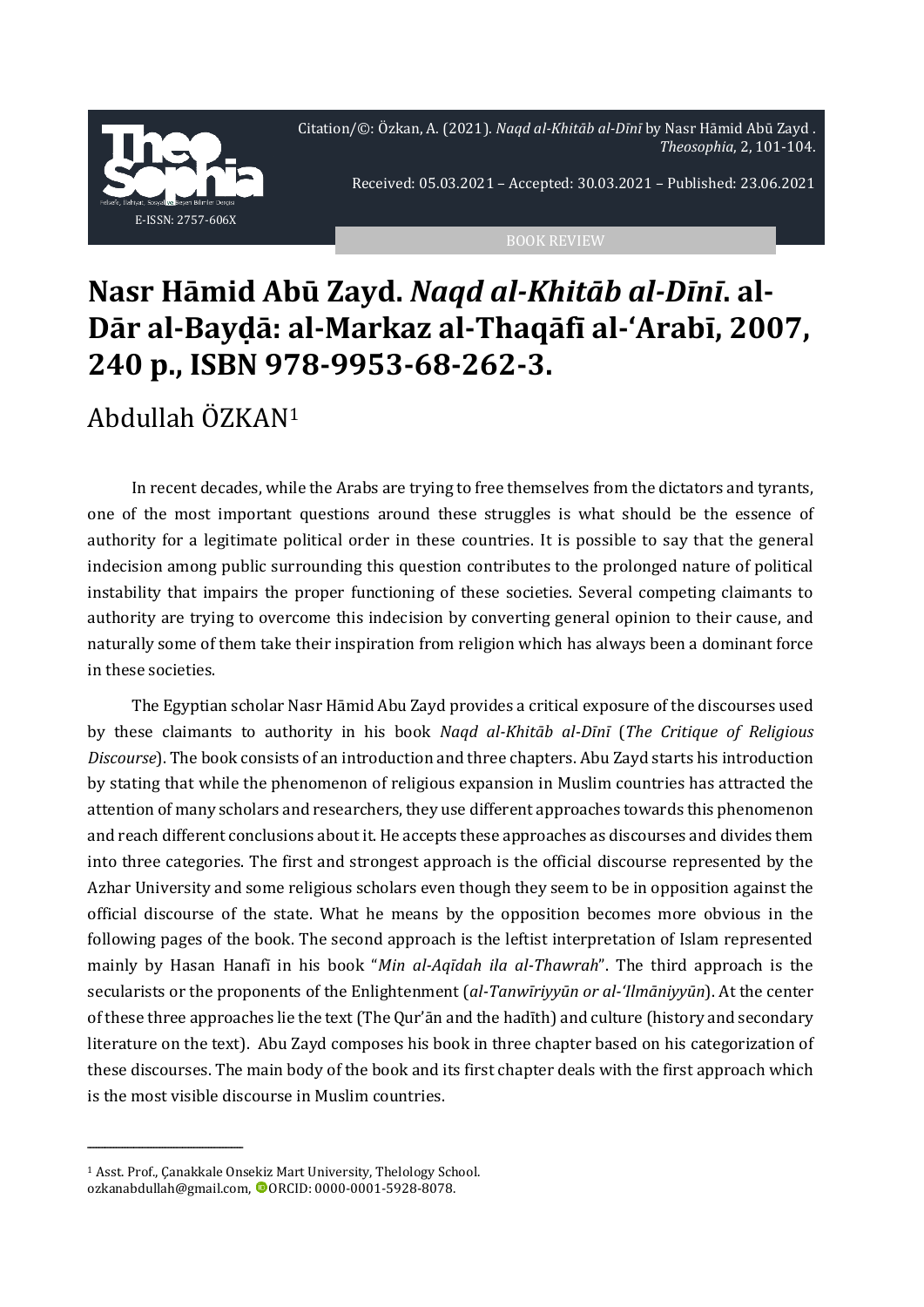Citation/©: Özkan, A. (2021). *Naqd al-Khitāb al-Dīnī* by Nasr Hāmid Abū Zayd . *Theosophia*, 2, 101-104.



Received: 05.03.2021 – Accepted: 30.03.2021 – Published: 23.06.2021

## **Nasr Hāmid Abū Zayd.** *Naqd al-Khitāb al-Dīnī***. al-Dār al-Bayḍā: al-Markaz al-Thaqāfī al-'Arabī, 2007, 240 p., ISBN 978-9953-68-262-3.**

## Abdullah ÖZKAN<sup>1</sup>

In recent decades, while the Arabs are trying to free themselves from the dictators and tyrants, one of the most important questions around these struggles is what should be the essence of authority for a legitimate political order in these countries. It is possible to say that the general indecision among public surrounding this question contributes to the prolonged nature of political instability that impairs the proper functioning of these societies. Several competing claimants to authority are trying to overcome this indecision by converting general opinion to their cause, and naturally some of them take their inspiration from religion which has always been a dominant force in these societies.

The Egyptian scholar Nasr Hāmid Abu Zayd provides a critical exposure of the discourses used by these claimants to authority in his book *Naqd al-Khitāb al-Dīnī* (*The Critique of Religious Discourse*). The book consists of an introduction and three chapters. Abu Zayd starts his introduction by stating that while the phenomenon of religious expansion in Muslim countries has attracted the attention of many scholars and researchers, they use different approaches towards this phenomenon and reach different conclusions about it. He accepts these approaches as discourses and divides them into three categories. The first and strongest approach is the official discourse represented by the Azhar University and some religious scholars even though they seem to be in opposition against the official discourse of the state. What he means by the opposition becomes more obvious in the following pages of the book. The second approach is the leftist interpretation of Islam represented mainly by Hasan Hanafī in his book "*Min al-Aqīdah ila al-Thawrah*". The third approach is the secularists or the proponents of the Enlightenment (*al-Tanwīriyyūn or al-'Ilmāniyyūn*). At the center of these three approaches lie the text (The Qur'ān and the hadīth) and culture (history and secondary literature on the text). Abu Zayd composes his book in three chapter based on his categorization of these discourses. The main body of the book and its first chapter deals with the first approach which is the most visible discourse in Muslim countries.

ــــــــــــــــــــــــــــــــــــــــــــــــــــــ

<sup>1</sup> Asst. Prof., Çanakkale Onsekiz Mart University, Thelology School. ozkanabdullah@gmail.com, ORCID: 0000-0001-5928-8078.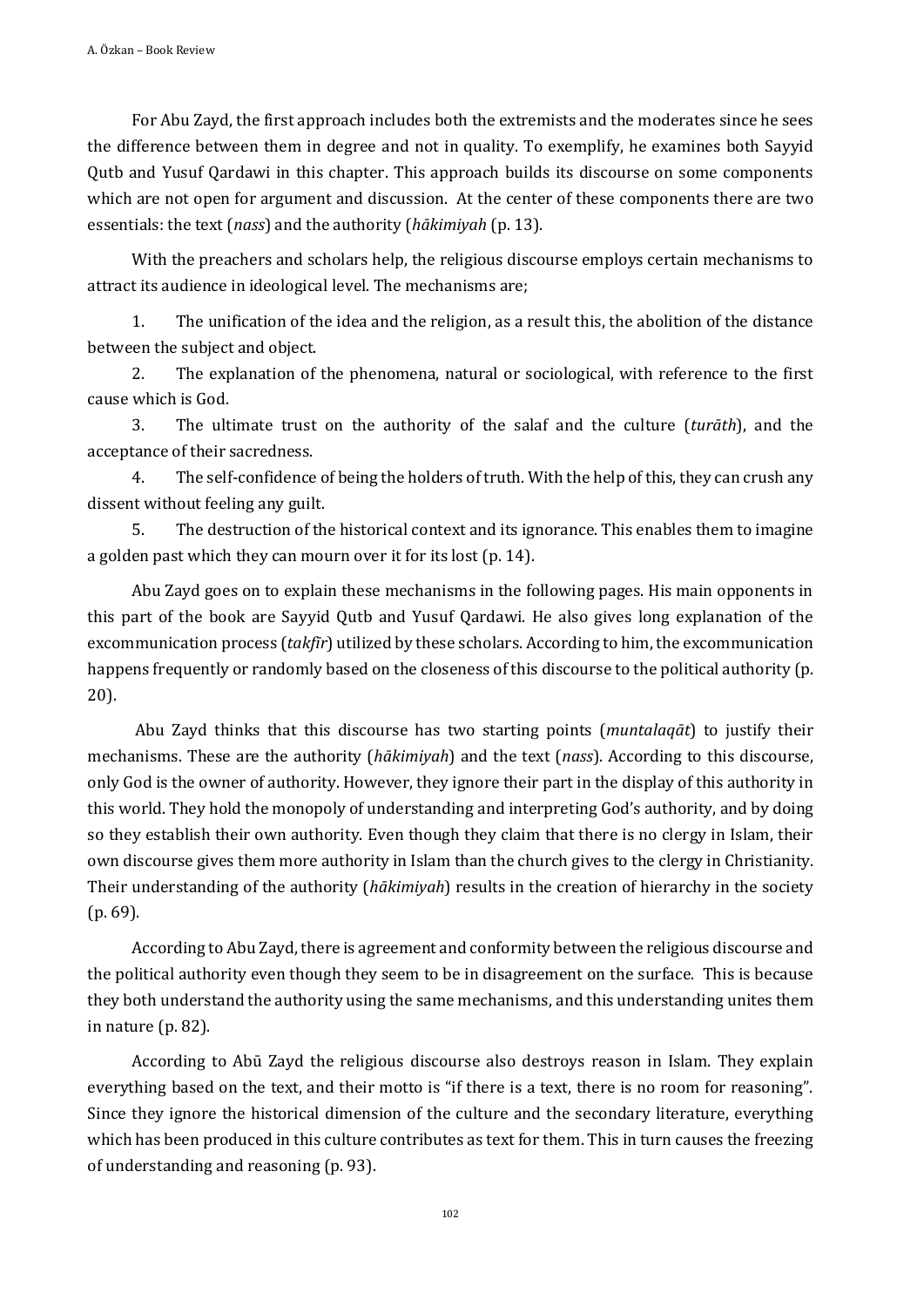For Abu Zayd, the first approach includes both the extremists and the moderates since he sees the difference between them in degree and not in quality. To exemplify, he examines both Sayyid Qutb and Yusuf Qardawi in this chapter. This approach builds its discourse on some components which are not open for argument and discussion. At the center of these components there are two essentials: the text (*nass*) and the authority (*hākimiyah* (p. 13).

With the preachers and scholars help, the religious discourse employs certain mechanisms to attract its audience in ideological level. The mechanisms are;

1. The unification of the idea and the religion, as a result this, the abolition of the distance between the subject and object.

2. The explanation of the phenomena, natural or sociological, with reference to the first cause which is God.

3. The ultimate trust on the authority of the salaf and the culture (*turāth*), and the acceptance of their sacredness.

4. The self-confidence of being the holders of truth. With the help of this, they can crush any dissent without feeling any guilt.

5. The destruction of the historical context and its ignorance. This enables them to imagine a golden past which they can mourn over it for its lost (p. 14).

Abu Zayd goes on to explain these mechanisms in the following pages. His main opponents in this part of the book are Sayyid Qutb and Yusuf Qardawi. He also gives long explanation of the excommunication process (*takfīr*) utilized by these scholars. According to him, the excommunication happens frequently or randomly based on the closeness of this discourse to the political authority (p. 20).

Abu Zayd thinks that this discourse has two starting points (*muntalaqāt*) to justify their mechanisms. These are the authority (*hākimiyah*) and the text (*nass*). According to this discourse, only God is the owner of authority. However, they ignore their part in the display of this authority in this world. They hold the monopoly of understanding and interpreting God's authority, and by doing so they establish their own authority. Even though they claim that there is no clergy in Islam, their own discourse gives them more authority in Islam than the church gives to the clergy in Christianity. Their understanding of the authority (*hākimiyah*) results in the creation of hierarchy in the society (p. 69).

According to Abu Zayd, there is agreement and conformity between the religious discourse and the political authority even though they seem to be in disagreement on the surface. This is because they both understand the authority using the same mechanisms, and this understanding unites them in nature (p. 82).

According to Abū Zayd the religious discourse also destroys reason in Islam. They explain everything based on the text, and their motto is "if there is a text, there is no room for reasoning". Since they ignore the historical dimension of the culture and the secondary literature, everything which has been produced in this culture contributes as text for them. This in turn causes the freezing of understanding and reasoning (p. 93).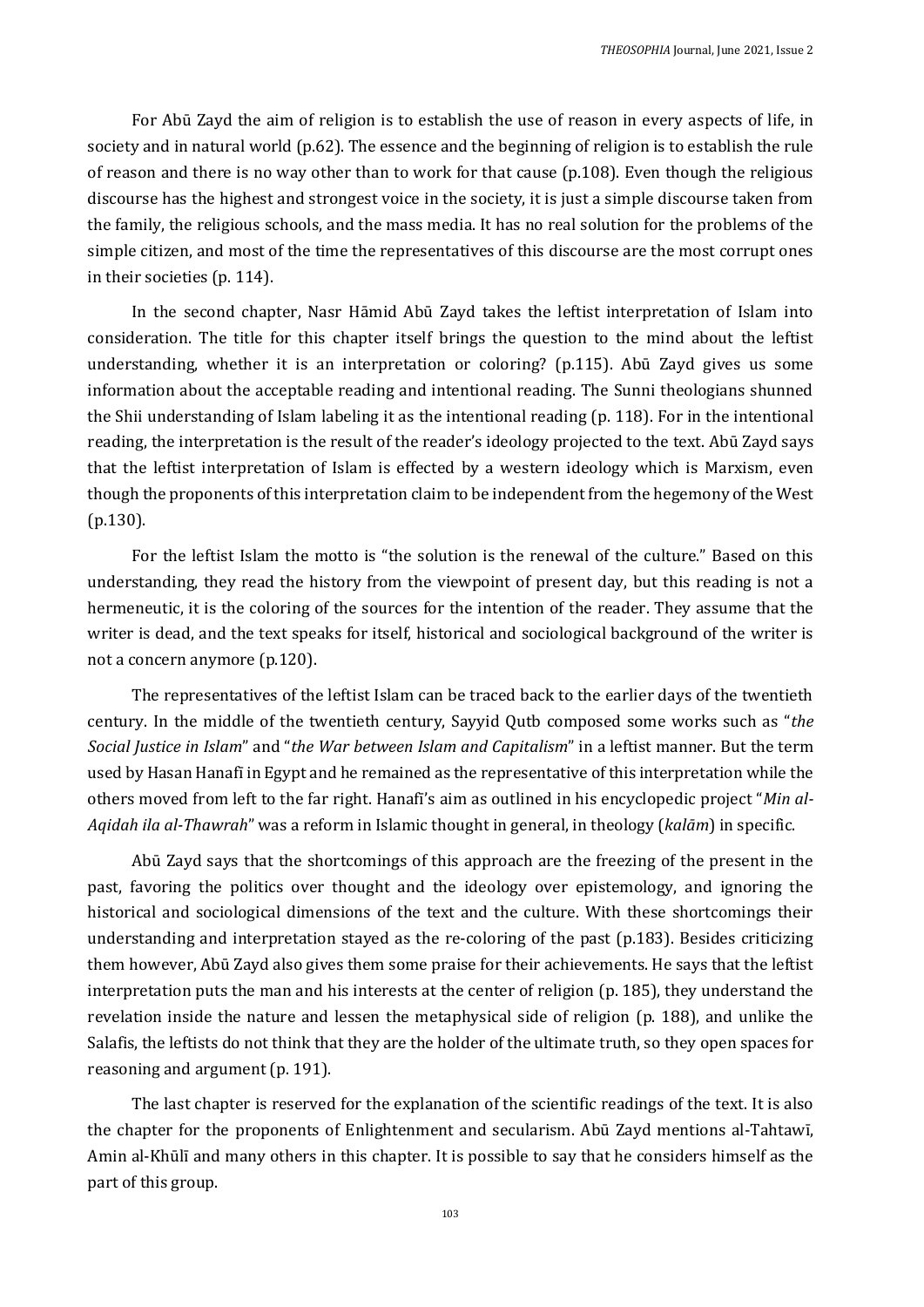For Abū Zayd the aim of religion is to establish the use of reason in every aspects of life, in society and in natural world (p.62). The essence and the beginning of religion is to establish the rule of reason and there is no way other than to work for that cause (p.108). Even though the religious discourse has the highest and strongest voice in the society, it is just a simple discourse taken from the family, the religious schools, and the mass media. It has no real solution for the problems of the simple citizen, and most of the time the representatives of this discourse are the most corrupt ones in their societies (p. 114).

In the second chapter, Nasr Hāmid Abū Zayd takes the leftist interpretation of Islam into consideration. The title for this chapter itself brings the question to the mind about the leftist understanding, whether it is an interpretation or coloring? (p.115). Abū Zayd gives us some information about the acceptable reading and intentional reading. The Sunni theologians shunned the Shii understanding of Islam labeling it as the intentional reading (p. 118). For in the intentional reading, the interpretation is the result of the reader's ideology projected to the text. Abū Zayd says that the leftist interpretation of Islam is effected by a western ideology which is Marxism, even though the proponents of this interpretation claim to be independent from the hegemony of the West (p.130).

For the leftist Islam the motto is "the solution is the renewal of the culture." Based on this understanding, they read the history from the viewpoint of present day, but this reading is not a hermeneutic, it is the coloring of the sources for the intention of the reader. They assume that the writer is dead, and the text speaks for itself, historical and sociological background of the writer is not a concern anymore (p.120).

The representatives of the leftist Islam can be traced back to the earlier days of the twentieth century. In the middle of the twentieth century, Sayyid Qutb composed some works such as "*the Social Justice in Islam*" and "*the War between Islam and Capitalism*" in a leftist manner. But the term used by Hasan Hanafī in Egypt and he remained as the representative of this interpretation while the others moved from left to the far right. Hanafī's aim as outlined in his encyclopedic project "*Min al-Aqidah ila al-Thawrah*" was a reform in Islamic thought in general, in theology (*kalām*) in specific.

Abū Zayd says that the shortcomings of this approach are the freezing of the present in the past, favoring the politics over thought and the ideology over epistemology, and ignoring the historical and sociological dimensions of the text and the culture. With these shortcomings their understanding and interpretation stayed as the re-coloring of the past (p.183). Besides criticizing them however, Abū Zayd also gives them some praise for their achievements. He says that the leftist interpretation puts the man and his interests at the center of religion (p. 185), they understand the revelation inside the nature and lessen the metaphysical side of religion (p. 188), and unlike the Salafis, the leftists do not think that they are the holder of the ultimate truth, so they open spaces for reasoning and argument (p. 191).

The last chapter is reserved for the explanation of the scientific readings of the text. It is also the chapter for the proponents of Enlightenment and secularism. Abū Zayd mentions al-Tahtawī, Amin al-Khūlī and many others in this chapter. It is possible to say that he considers himself as the part of this group.